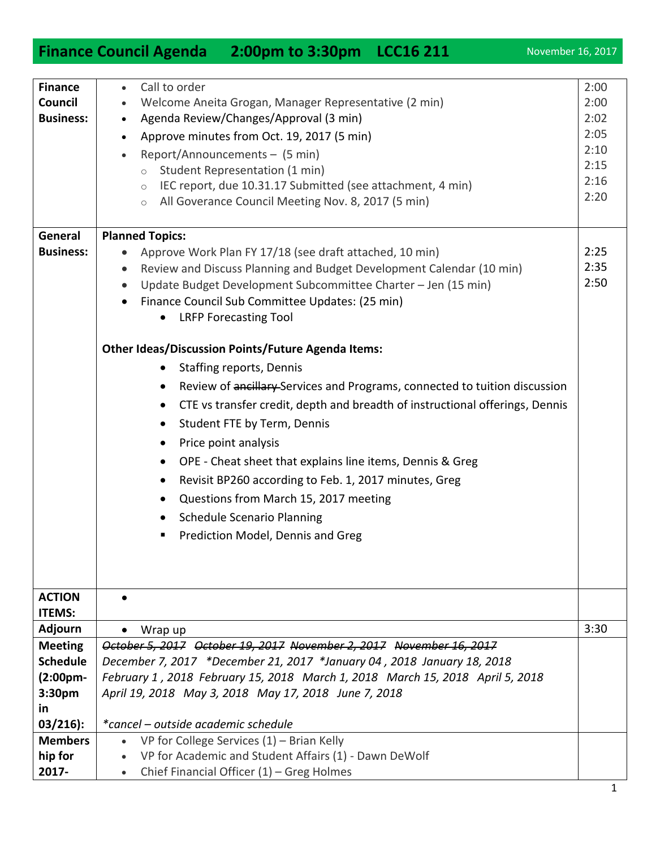1

| <b>Finance</b>              | Call to order                                                                           | 2:00         |
|-----------------------------|-----------------------------------------------------------------------------------------|--------------|
| Council<br><b>Business:</b> | Welcome Aneita Grogan, Manager Representative (2 min)                                   | 2:00         |
|                             | Agenda Review/Changes/Approval (3 min)<br>$\bullet$                                     | 2:02<br>2:05 |
|                             | Approve minutes from Oct. 19, 2017 (5 min)<br>$\bullet$                                 | 2:10         |
|                             | Report/Announcements - (5 min)<br>$\bullet$                                             | 2:15         |
|                             | Student Representation (1 min)<br>$\circ$                                               | 2:16         |
|                             | IEC report, due 10.31.17 Submitted (see attachment, 4 min)<br>$\circ$                   | 2:20         |
|                             | All Goverance Council Meeting Nov. 8, 2017 (5 min)<br>$\circ$                           |              |
| General                     | <b>Planned Topics:</b>                                                                  |              |
| <b>Business:</b>            | Approve Work Plan FY 17/18 (see draft attached, 10 min)                                 | 2:25         |
|                             | Review and Discuss Planning and Budget Development Calendar (10 min)<br>$\bullet$       | 2:35         |
|                             | Update Budget Development Subcommittee Charter - Jen (15 min)<br>$\bullet$              | 2:50         |
|                             | Finance Council Sub Committee Updates: (25 min)                                         |              |
|                             | <b>LRFP Forecasting Tool</b><br>٠                                                       |              |
|                             |                                                                                         |              |
|                             | <b>Other Ideas/Discussion Points/Future Agenda Items:</b>                               |              |
|                             | <b>Staffing reports, Dennis</b><br>٠                                                    |              |
|                             | Review of ancillary-Services and Programs, connected to tuition discussion<br>$\bullet$ |              |
|                             | CTE vs transfer credit, depth and breadth of instructional offerings, Dennis<br>٠       |              |
|                             | Student FTE by Term, Dennis<br>$\bullet$                                                |              |
|                             | Price point analysis<br>٠                                                               |              |
|                             | OPE - Cheat sheet that explains line items, Dennis & Greg                               |              |
|                             | $\bullet$                                                                               |              |
|                             | Revisit BP260 according to Feb. 1, 2017 minutes, Greg<br>$\bullet$                      |              |
|                             | Questions from March 15, 2017 meeting<br>٠                                              |              |
|                             | <b>Schedule Scenario Planning</b><br>$\bullet$                                          |              |
|                             | Prediction Model, Dennis and Greg<br>п                                                  |              |
|                             |                                                                                         |              |
|                             |                                                                                         |              |
| <b>ACTION</b>               |                                                                                         |              |
| <b>ITEMS:</b>               |                                                                                         |              |
| <b>Adjourn</b>              | Wrap up<br>٠                                                                            | 3:30         |
| <b>Meeting</b>              | October 5, 2017 October 19, 2017 November 2, 2017 November 16, 2017                     |              |
| <b>Schedule</b>             | December 7, 2017 *December 21, 2017 *January 04, 2018 January 18, 2018                  |              |
| $(2:00pm -$                 | February 1, 2018 February 15, 2018 March 1, 2018 March 15, 2018 April 5, 2018           |              |
| 3:30pm                      | April 19, 2018 May 3, 2018 May 17, 2018 June 7, 2018                                    |              |
| <b>in</b>                   |                                                                                         |              |
| $03/216$ :                  | *cancel – outside academic schedule                                                     |              |
| <b>Members</b>              | VP for College Services $(1)$ – Brian Kelly                                             |              |
| hip for                     | VP for Academic and Student Affairs (1) - Dawn DeWolf                                   |              |

## **Finance Council Agenda** 2:00pm to 3:30pm LCC16 211 November 16, 2017

Chief Financial Officer (1) – Greg Holmes

**2017-**